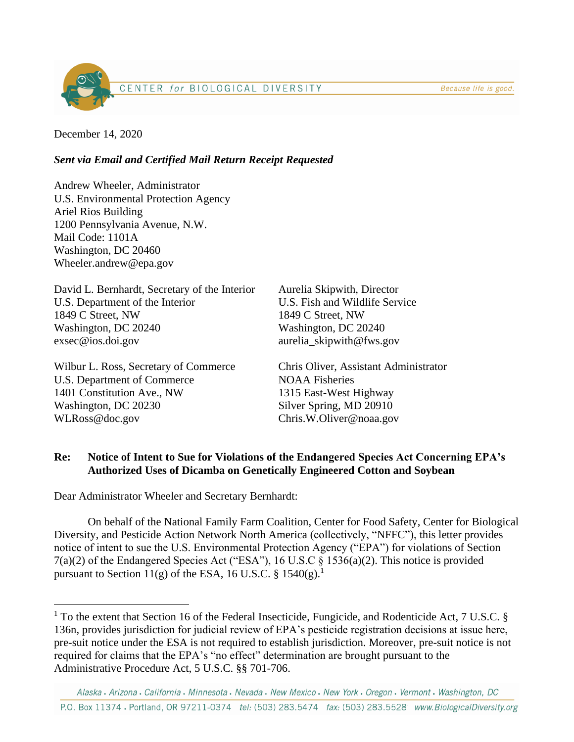Because life is good.



December 14, 2020

## *Sent via Email and Certified Mail Return Receipt Requested*

Andrew Wheeler, Administrator U.S. Environmental Protection Agency Ariel Rios Building 1200 Pennsylvania Avenue, N.W. Mail Code: 1101A Washington, DC 20460 Wheeler.andrew@epa.gov

David L. Bernhardt, Secretary of the Interior U.S. Department of the Interior 1849 C Street, NW Washington, DC 20240 exsec@ios.doi.gov

Wilbur L. Ross, Secretary of Commerce U.S. Department of Commerce 1401 Constitution Ave., NW Washington, DC 20230 WLRoss@doc.gov

Aurelia Skipwith, Director U.S. Fish and Wildlife Service 1849 C Street, NW Washington, DC 20240 aurelia\_skipwith@fws.gov

Chris Oliver, Assistant Administrator NOAA Fisheries 1315 East-West Highway Silver Spring, MD 20910 Chris.W.Oliver@noaa.gov

## **Re: Notice of Intent to Sue for Violations of the Endangered Species Act Concerning EPA's Authorized Uses of Dicamba on Genetically Engineered Cotton and Soybean**

Dear Administrator Wheeler and Secretary Bernhardt:

On behalf of the National Family Farm Coalition, Center for Food Safety, Center for Biological Diversity, and Pesticide Action Network North America (collectively, "NFFC"), this letter provides notice of intent to sue the U.S. Environmental Protection Agency ("EPA") for violations of Section 7(a)(2) of the Endangered Species Act ("ESA"), 16 U.S.C § 1536(a)(2). This notice is provided pursuant to Section 11(g) of the ESA, 16 U.S.C. § 1540(g).<sup>1</sup>

<sup>&</sup>lt;sup>1</sup> To the extent that Section 16 of the Federal Insecticide, Fungicide, and Rodenticide Act, 7 U.S.C. § 136n, provides jurisdiction for judicial review of EPA's pesticide registration decisions at issue here, pre-suit notice under the ESA is not required to establish jurisdiction. Moreover, pre-suit notice is not required for claims that the EPA's "no effect" determination are brought pursuant to the Administrative Procedure Act, 5 U.S.C. §§ 701-706.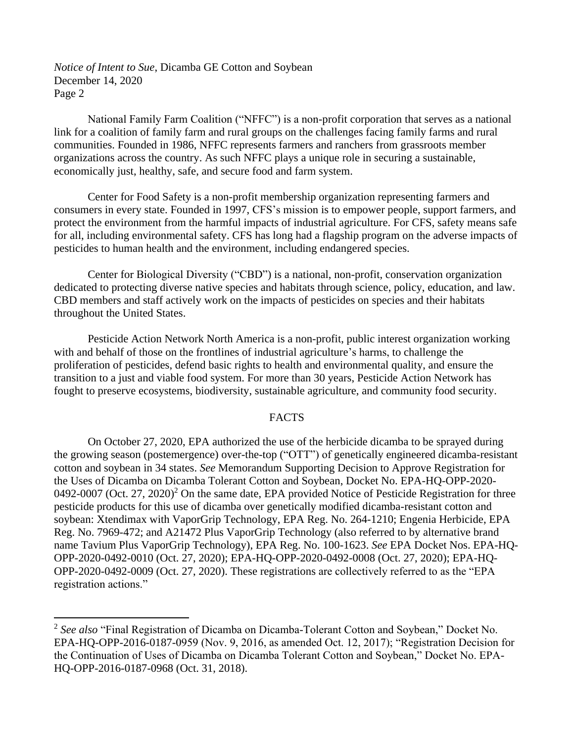National Family Farm Coalition ("NFFC") is a non-profit corporation that serves as a national link for a coalition of family farm and rural groups on the challenges facing family farms and rural communities. Founded in 1986, NFFC represents farmers and ranchers from grassroots member organizations across the country. As such NFFC plays a unique role in securing a sustainable, economically just, healthy, safe, and secure food and farm system.

Center for Food Safety is a non-profit membership organization representing farmers and consumers in every state. Founded in 1997, CFS's mission is to empower people, support farmers, and protect the environment from the harmful impacts of industrial agriculture. For CFS, safety means safe for all, including environmental safety. CFS has long had a flagship program on the adverse impacts of pesticides to human health and the environment, including endangered species.

Center for Biological Diversity ("CBD") is a national, non-profit, conservation organization dedicated to protecting diverse native species and habitats through science, policy, education, and law. CBD members and staff actively work on the impacts of pesticides on species and their habitats throughout the United States.

Pesticide Action Network North America is a non-profit, public interest organization working with and behalf of those on the frontlines of industrial agriculture's harms, to challenge the proliferation of pesticides, defend basic rights to health and environmental quality, and ensure the transition to a just and viable food system. For more than 30 years, Pesticide Action Network has fought to preserve ecosystems, biodiversity, sustainable agriculture, and community food security.

#### FACTS

On October 27, 2020, EPA authorized the use of the herbicide dicamba to be sprayed during the growing season (postemergence) over-the-top ("OTT") of genetically engineered dicamba-resistant cotton and soybean in 34 states. *See* Memorandum Supporting Decision to Approve Registration for the Uses of Dicamba on Dicamba Tolerant Cotton and Soybean, Docket No. EPA-HQ-OPP-2020- 0492-0007 (Oct. 27, 2020)<sup>2</sup> On the same date, EPA provided Notice of Pesticide Registration for three pesticide products for this use of dicamba over genetically modified dicamba-resistant cotton and soybean: Xtendimax with VaporGrip Technology, EPA Reg. No. 264-1210; Engenia Herbicide, EPA Reg. No. 7969-472; and A21472 Plus VaporGrip Technology (also referred to by alternative brand name Tavium Plus VaporGrip Technology), EPA Reg. No. 100-1623. *See* EPA Docket Nos. EPA-HQ-OPP-2020-0492-0010 (Oct. 27, 2020); EPA-HQ-OPP-2020-0492-0008 (Oct. 27, 2020); EPA-HQ-OPP-2020-0492-0009 (Oct. 27, 2020). These registrations are collectively referred to as the "EPA registration actions."

<sup>2</sup> *See also* "Final Registration of Dicamba on Dicamba-Tolerant Cotton and Soybean," Docket No. EPA-HQ-OPP-2016-0187-0959 (Nov. 9, 2016, as amended Oct. 12, 2017); "Registration Decision for the Continuation of Uses of Dicamba on Dicamba Tolerant Cotton and Soybean," Docket No. EPA-HQ-OPP-2016-0187-0968 (Oct. 31, 2018).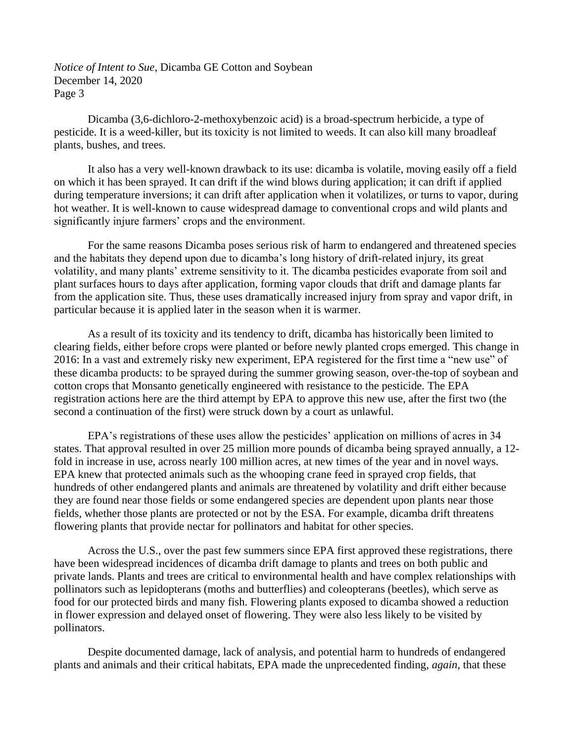Dicamba (3,6-dichloro-2-methoxybenzoic acid) is a broad-spectrum herbicide, a type of pesticide. It is a weed-killer, but its toxicity is not limited to weeds. It can also kill many broadleaf plants, bushes, and trees.

It also has a very well-known drawback to its use: dicamba is volatile, moving easily off a field on which it has been sprayed. It can drift if the wind blows during application; it can drift if applied during temperature inversions; it can drift after application when it volatilizes, or turns to vapor, during hot weather. It is well-known to cause widespread damage to conventional crops and wild plants and significantly injure farmers' crops and the environment.

For the same reasons Dicamba poses serious risk of harm to endangered and threatened species and the habitats they depend upon due to dicamba's long history of drift-related injury, its great volatility, and many plants' extreme sensitivity to it. The dicamba pesticides evaporate from soil and plant surfaces hours to days after application, forming vapor clouds that drift and damage plants far from the application site. Thus, these uses dramatically increased injury from spray and vapor drift, in particular because it is applied later in the season when it is warmer.

As a result of its toxicity and its tendency to drift, dicamba has historically been limited to clearing fields, either before crops were planted or before newly planted crops emerged. This change in 2016: In a vast and extremely risky new experiment, EPA registered for the first time a "new use" of these dicamba products: to be sprayed during the summer growing season, over-the-top of soybean and cotton crops that Monsanto genetically engineered with resistance to the pesticide. The EPA registration actions here are the third attempt by EPA to approve this new use, after the first two (the second a continuation of the first) were struck down by a court as unlawful.

EPA's registrations of these uses allow the pesticides' application on millions of acres in 34 states. That approval resulted in over 25 million more pounds of dicamba being sprayed annually, a 12 fold in increase in use, across nearly 100 million acres, at new times of the year and in novel ways. EPA knew that protected animals such as the whooping crane feed in sprayed crop fields, that hundreds of other endangered plants and animals are threatened by volatility and drift either because they are found near those fields or some endangered species are dependent upon plants near those fields, whether those plants are protected or not by the ESA. For example, dicamba drift threatens flowering plants that provide nectar for pollinators and habitat for other species.

Across the U.S., over the past few summers since EPA first approved these registrations, there have been widespread incidences of dicamba drift damage to plants and trees on both public and private lands. Plants and trees are critical to environmental health and have complex relationships with pollinators such as lepidopterans (moths and butterflies) and coleopterans (beetles), which serve as food for our protected birds and many fish. Flowering plants exposed to dicamba showed a reduction in flower expression and delayed onset of flowering. They were also less likely to be visited by pollinators.

Despite documented damage, lack of analysis, and potential harm to hundreds of endangered plants and animals and their critical habitats, EPA made the unprecedented finding, *again*, that these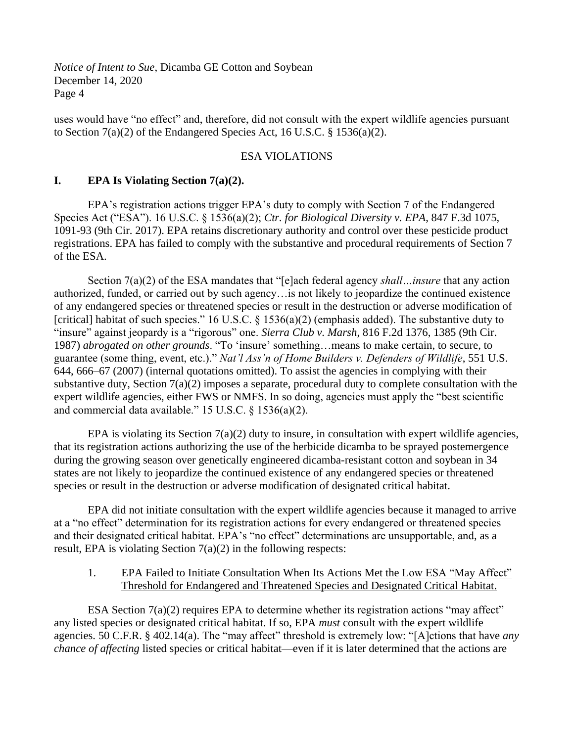uses would have "no effect" and, therefore, did not consult with the expert wildlife agencies pursuant to Section  $7(a)(2)$  of the Endangered Species Act, 16 U.S.C. § 1536(a)(2).

#### ESA VIOLATIONS

### **I. EPA Is Violating Section 7(a)(2).**

EPA's registration actions trigger EPA's duty to comply with Section 7 of the Endangered Species Act ("ESA"). 16 U.S.C. § 1536(a)(2); *Ctr. for Biological Diversity v. EPA*, 847 F.3d 1075, 1091-93 (9th Cir. 2017). EPA retains discretionary authority and control over these pesticide product registrations. EPA has failed to comply with the substantive and procedural requirements of Section 7 of the ESA.

Section 7(a)(2) of the ESA mandates that "[e]ach federal agency *shall…insure* that any action authorized, funded, or carried out by such agency…is not likely to jeopardize the continued existence of any endangered species or threatened species or result in the destruction or adverse modification of [critical] habitat of such species." 16 U.S.C. § 1536(a)(2) (emphasis added). The substantive duty to "insure" against jeopardy is a "rigorous" one. *Sierra Club v. Marsh*, 816 F.2d 1376, 1385 (9th Cir. 1987) *abrogated on other grounds*. "To 'insure' something…means to make certain, to secure, to guarantee (some thing, event, etc.)." *Nat'l Ass'n of Home Builders v. Defenders of Wildlife*, 551 U.S. 644, 666–67 (2007) (internal quotations omitted). To assist the agencies in complying with their substantive duty, Section 7(a)(2) imposes a separate, procedural duty to complete consultation with the expert wildlife agencies, either FWS or NMFS. In so doing, agencies must apply the "best scientific and commercial data available." 15 U.S.C. § 1536(a)(2).

EPA is violating its Section  $7(a)(2)$  duty to insure, in consultation with expert wildlife agencies, that its registration actions authorizing the use of the herbicide dicamba to be sprayed postemergence during the growing season over genetically engineered dicamba-resistant cotton and soybean in 34 states are not likely to jeopardize the continued existence of any endangered species or threatened species or result in the destruction or adverse modification of designated critical habitat.

EPA did not initiate consultation with the expert wildlife agencies because it managed to arrive at a "no effect" determination for its registration actions for every endangered or threatened species and their designated critical habitat. EPA's "no effect" determinations are unsupportable, and, as a result, EPA is violating Section 7(a)(2) in the following respects:

### 1. EPA Failed to Initiate Consultation When Its Actions Met the Low ESA "May Affect" Threshold for Endangered and Threatened Species and Designated Critical Habitat.

ESA Section  $7(a)(2)$  requires EPA to determine whether its registration actions "may affect" any listed species or designated critical habitat. If so, EPA *must* consult with the expert wildlife agencies. 50 C.F.R. § 402.14(a). The "may affect" threshold is extremely low: "[A]ctions that have *any chance of affecting* listed species or critical habitat—even if it is later determined that the actions are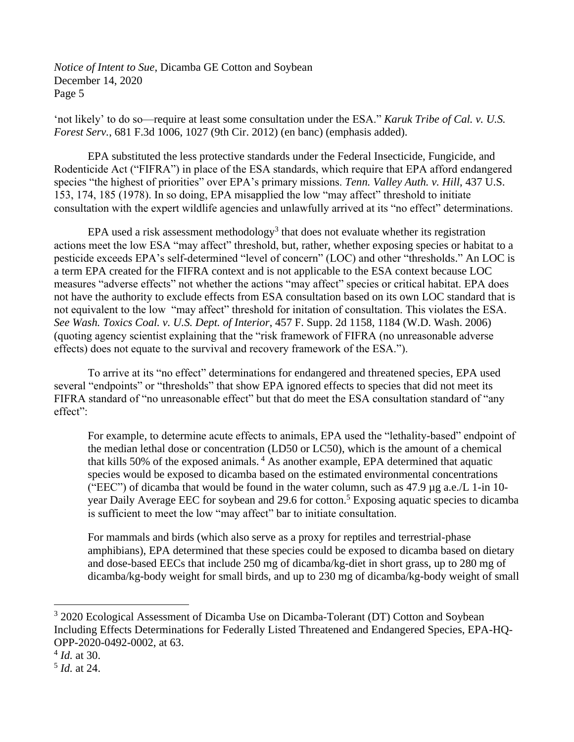'not likely' to do so—require at least some consultation under the ESA." *Karuk Tribe of Cal. v. U.S. Forest Serv.*, 681 F.3d 1006, 1027 (9th Cir. 2012) (en banc) (emphasis added).

EPA substituted the less protective standards under the Federal Insecticide, Fungicide, and Rodenticide Act ("FIFRA") in place of the ESA standards, which require that EPA afford endangered species "the highest of priorities" over EPA's primary missions. *Tenn. Valley Auth. v. Hill*, 437 U.S. 153, 174, 185 (1978). In so doing, EPA misapplied the low "may affect" threshold to initiate consultation with the expert wildlife agencies and unlawfully arrived at its "no effect" determinations.

EPA used a risk assessment methodology<sup>3</sup> that does not evaluate whether its registration actions meet the low ESA "may affect" threshold, but, rather, whether exposing species or habitat to a pesticide exceeds EPA's self-determined "level of concern" (LOC) and other "thresholds." An LOC is a term EPA created for the FIFRA context and is not applicable to the ESA context because LOC measures "adverse effects" not whether the actions "may affect" species or critical habitat. EPA does not have the authority to exclude effects from ESA consultation based on its own LOC standard that is not equivalent to the low "may affect" threshold for initation of consultation. This violates the ESA. *See Wash. Toxics Coal. v. U.S. Dept. of Interior*, 457 F. Supp. 2d 1158, 1184 (W.D. Wash. 2006) (quoting agency scientist explaining that the "risk framework of FIFRA (no unreasonable adverse effects) does not equate to the survival and recovery framework of the ESA.").

To arrive at its "no effect" determinations for endangered and threatened species, EPA used several "endpoints" or "thresholds" that show EPA ignored effects to species that did not meet its FIFRA standard of "no unreasonable effect" but that do meet the ESA consultation standard of "any effect":

For example, to determine acute effects to animals, EPA used the "lethality-based" endpoint of the median lethal dose or concentration (LD50 or LC50), which is the amount of a chemical that kills 50% of the exposed animals.<sup>4</sup> As another example, EPA determined that aquatic species would be exposed to dicamba based on the estimated environmental concentrations ("EEC") of dicamba that would be found in the water column, such as 47.9 µg a.e./L 1-in 10 year Daily Average EEC for soybean and 29.6 for cotton.<sup>5</sup> Exposing aquatic species to dicamba is sufficient to meet the low "may affect" bar to initiate consultation.

For mammals and birds (which also serve as a proxy for reptiles and terrestrial-phase amphibians), EPA determined that these species could be exposed to dicamba based on dietary and dose-based EECs that include 250 mg of dicamba/kg-diet in short grass, up to 280 mg of dicamba/kg-body weight for small birds, and up to 230 mg of dicamba/kg-body weight of small

<sup>&</sup>lt;sup>3</sup> 2020 Ecological Assessment of Dicamba Use on Dicamba-Tolerant (DT) Cotton and Soybean Including Effects Determinations for Federally Listed Threatened and Endangered Species, EPA-HQ-OPP-2020-0492-0002, at 63.

<sup>4</sup> *Id.* at 30.

<sup>5</sup> *Id.* at 24.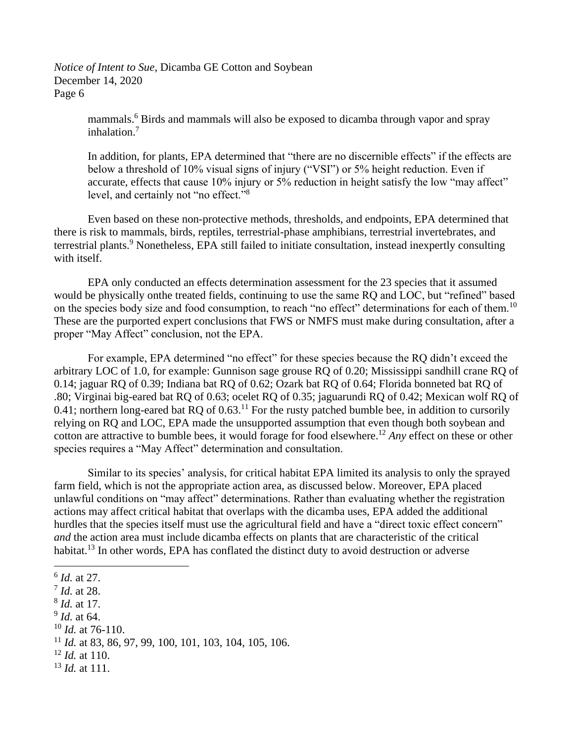> mammals.<sup>6</sup> Birds and mammals will also be exposed to dicamba through vapor and spray inhalation.<sup>7</sup>

In addition, for plants, EPA determined that "there are no discernible effects" if the effects are below a threshold of 10% visual signs of injury ("VSI") or 5% height reduction. Even if accurate, effects that cause 10% injury or 5% reduction in height satisfy the low "may affect" level, and certainly not "no effect."<sup>8</sup>

Even based on these non-protective methods, thresholds, and endpoints, EPA determined that there is risk to mammals, birds, reptiles, terrestrial-phase amphibians, terrestrial invertebrates, and terrestrial plants.<sup>9</sup> Nonetheless, EPA still failed to initiate consultation, instead inexpertly consulting with itself.

EPA only conducted an effects determination assessment for the 23 species that it assumed would be physically onthe treated fields, continuing to use the same RQ and LOC, but "refined" based on the species body size and food consumption, to reach "no effect" determinations for each of them.<sup>10</sup> These are the purported expert conclusions that FWS or NMFS must make during consultation, after a proper "May Affect" conclusion, not the EPA.

For example, EPA determined "no effect" for these species because the RQ didn't exceed the arbitrary LOC of 1.0, for example: Gunnison sage grouse RQ of 0.20; Mississippi sandhill crane RQ of 0.14; jaguar RQ of 0.39; Indiana bat RQ of 0.62; Ozark bat RQ of 0.64; Florida bonneted bat RQ of .80; Virginai big-eared bat RQ of 0.63; ocelet RQ of 0.35; jaguarundi RQ of 0.42; Mexican wolf RQ of 0.41; northern long-eared bat RQ of 0.63.<sup>11</sup> For the rusty patched bumble bee, in addition to cursorily relying on RQ and LOC, EPA made the unsupported assumption that even though both soybean and cotton are attractive to bumble bees, it would forage for food elsewhere. <sup>12</sup> *Any* effect on these or other species requires a "May Affect" determination and consultation.

Similar to its species' analysis, for critical habitat EPA limited its analysis to only the sprayed farm field, which is not the appropriate action area, as discussed below. Moreover, EPA placed unlawful conditions on "may affect" determinations. Rather than evaluating whether the registration actions may affect critical habitat that overlaps with the dicamba uses, EPA added the additional hurdles that the species itself must use the agricultural field and have a "direct toxic effect concern" *and* the action area must include dicamba effects on plants that are characteristic of the critical habitat.<sup>13</sup> In other words, EPA has conflated the distinct duty to avoid destruction or adverse

- 8 *Id.* at 17.
- 9 *Id.* at 64.
- <sup>10</sup> *Id.* at 76-110.

- <sup>12</sup> *Id.* at 110.
- <sup>13</sup> *Id.* at 111.

<sup>6</sup> *Id.* at 27.

<sup>7</sup> *Id.* at 28.

<sup>11</sup> *Id.* at 83, 86, 97, 99, 100, 101, 103, 104, 105, 106.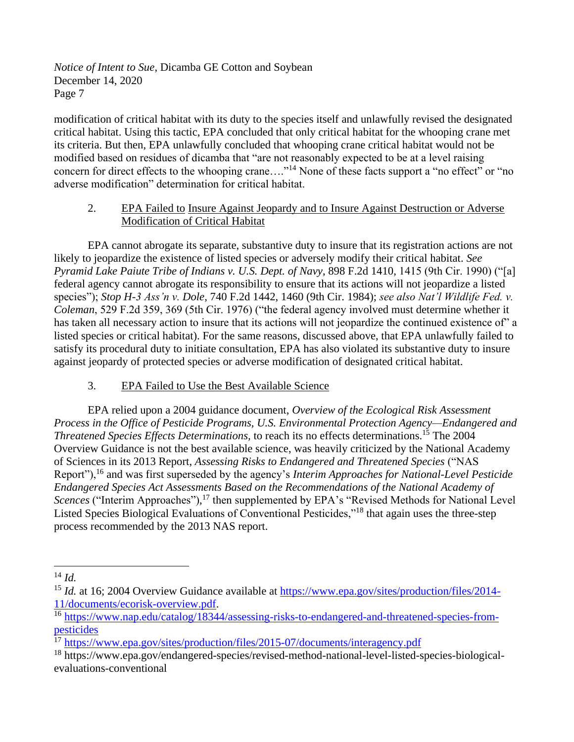modification of critical habitat with its duty to the species itself and unlawfully revised the designated critical habitat. Using this tactic, EPA concluded that only critical habitat for the whooping crane met its criteria. But then, EPA unlawfully concluded that whooping crane critical habitat would not be modified based on residues of dicamba that "are not reasonably expected to be at a level raising concern for direct effects to the whooping crane…."<sup>14</sup> None of these facts support a "no effect" or "no adverse modification" determination for critical habitat.

## 2. EPA Failed to Insure Against Jeopardy and to Insure Against Destruction or Adverse Modification of Critical Habitat

EPA cannot abrogate its separate, substantive duty to insure that its registration actions are not likely to jeopardize the existence of listed species or adversely modify their critical habitat. *See Pyramid Lake Paiute Tribe of Indians v. U.S. Dept. of Navy*, 898 F.2d 1410, 1415 (9th Cir. 1990) ("[a] federal agency cannot abrogate its responsibility to ensure that its actions will not jeopardize a listed species"); *Stop H-3 Ass'n v. Dole*, 740 F.2d 1442, 1460 (9th Cir. 1984); *see also Nat'l Wildlife Fed. v. Coleman*, 529 F.2d 359, 369 (5th Cir. 1976) ("the federal agency involved must determine whether it has taken all necessary action to insure that its actions will not jeopardize the continued existence of" a listed species or critical habitat). For the same reasons, discussed above, that EPA unlawfully failed to satisfy its procedural duty to initiate consultation, EPA has also violated its substantive duty to insure against jeopardy of protected species or adverse modification of designated critical habitat.

## 3. EPA Failed to Use the Best Available Science

EPA relied upon a 2004 guidance document, *Overview of the Ecological Risk Assessment Process in the Office of Pesticide Programs, U.S. Environmental Protection Agency—Endangered and Threatened Species Effects Determinations, to reach its no effects determinations.<sup>15</sup> The 2004* Overview Guidance is not the best available science, was heavily criticized by the National Academy of Sciences in its 2013 Report, *Assessing Risks to Endangered and Threatened Species* ("NAS Report"),<sup>16</sup> and was first superseded by the agency's *Interim Approaches for National-Level Pesticide Endangered Species Act Assessments Based on the Recommendations of the National Academy of*  Scences ("Interim Approaches"),<sup>17</sup> then supplemented by EPA's "Revised Methods for National Level Listed Species Biological Evaluations of Conventional Pesticides,"<sup>18</sup> that again uses the three-step process recommended by the 2013 NAS report.

<sup>14</sup> *Id.*

<sup>&</sup>lt;sup>15</sup> *Id.* at 16; 2004 Overview Guidance available at [https://www.epa.gov/sites/production/files/2014-](https://www.epa.gov/sites/production/files/2014-11/documents/ecorisk-overview.pdf) [11/documents/ecorisk-overview.pdf.](https://www.epa.gov/sites/production/files/2014-11/documents/ecorisk-overview.pdf)

<sup>&</sup>lt;sup>16</sup> [https://www.nap.edu/catalog/18344/assessing-risks-to-endangered-and-threatened-species-from](https://www.nap.edu/catalog/18344/assessing-risks-to-endangered-and-threatened-species-from-pesticides)[pesticides](https://www.nap.edu/catalog/18344/assessing-risks-to-endangered-and-threatened-species-from-pesticides)

 $17$  <https://www.epa.gov/sites/production/files/2015-07/documents/interagency.pdf>

<sup>18</sup> https://www.epa.gov/endangered-species/revised-method-national-level-listed-species-biologicalevaluations-conventional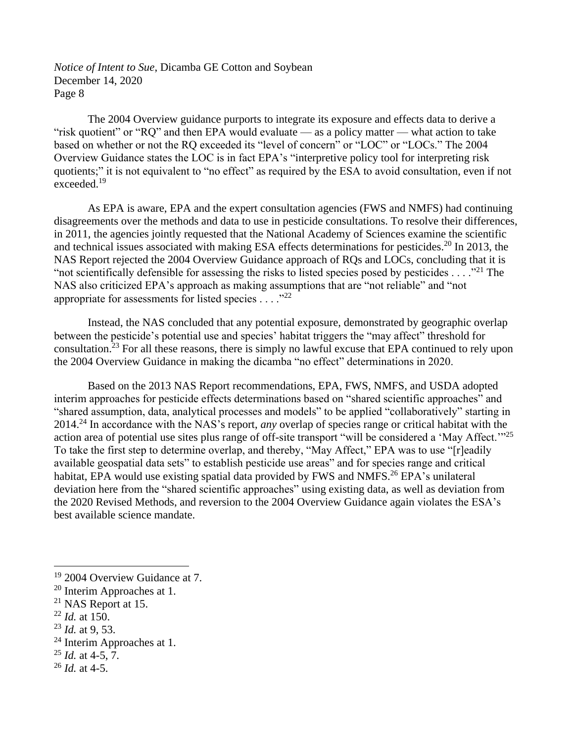The 2004 Overview guidance purports to integrate its exposure and effects data to derive a "risk quotient" or "RQ" and then EPA would evaluate — as a policy matter — what action to take based on whether or not the RQ exceeded its "level of concern" or "LOC" or "LOCs." The 2004 Overview Guidance states the LOC is in fact EPA's "interpretive policy tool for interpreting risk quotients;" it is not equivalent to "no effect" as required by the ESA to avoid consultation, even if not  $exceeded.<sup>19</sup>$ 

As EPA is aware, EPA and the expert consultation agencies (FWS and NMFS) had continuing disagreements over the methods and data to use in pesticide consultations. To resolve their differences, in 2011, the agencies jointly requested that the National Academy of Sciences examine the scientific and technical issues associated with making ESA effects determinations for pesticides.<sup>20</sup> In 2013, the NAS Report rejected the 2004 Overview Guidance approach of RQs and LOCs, concluding that it is "not scientifically defensible for assessing the risks to listed species posed by pesticides . . . ."<sup>21</sup> The NAS also criticized EPA's approach as making assumptions that are "not reliable" and "not appropriate for assessments for listed species  $\dots$ ."<sup>22</sup>

Instead, the NAS concluded that any potential exposure, demonstrated by geographic overlap between the pesticide's potential use and species' habitat triggers the "may affect" threshold for consultation.<sup>23</sup> For all these reasons, there is simply no lawful excuse that EPA continued to rely upon the 2004 Overview Guidance in making the dicamba "no effect" determinations in 2020.

Based on the 2013 NAS Report recommendations, EPA, FWS, NMFS, and USDA adopted interim approaches for pesticide effects determinations based on "shared scientific approaches" and "shared assumption, data, analytical processes and models" to be applied "collaboratively" starting in 2014.<sup>24</sup> In accordance with the NAS's report, *any* overlap of species range or critical habitat with the action area of potential use sites plus range of off-site transport "will be considered a 'May Affect.'"<sup>25</sup> To take the first step to determine overlap, and thereby, "May Affect," EPA was to use "[r]eadily available geospatial data sets" to establish pesticide use areas" and for species range and critical habitat, EPA would use existing spatial data provided by FWS and NMFS.<sup>26</sup> EPA's unilateral deviation here from the "shared scientific approaches" using existing data, as well as deviation from the 2020 Revised Methods, and reversion to the 2004 Overview Guidance again violates the ESA's best available science mandate.

- <sup>23</sup> *Id.* at 9, 53.
- <sup>24</sup> Interim Approaches at 1.

<sup>25</sup> *Id.* at 4-5, 7.

<sup>26</sup> *Id.* at 4-5.

<sup>&</sup>lt;sup>19</sup> 2004 Overview Guidance at 7.

<sup>20</sup> Interim Approaches at 1.

<sup>21</sup> NAS Report at 15.

<sup>22</sup> *Id.* at 150.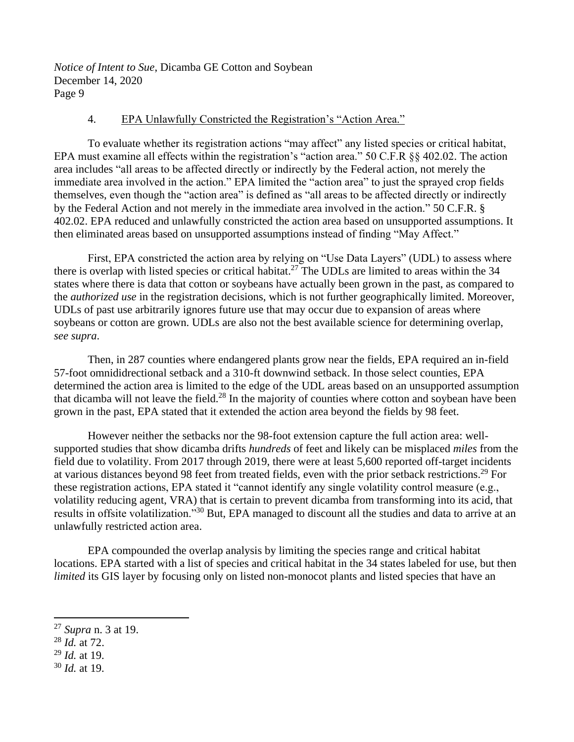#### 4. EPA Unlawfully Constricted the Registration's "Action Area."

To evaluate whether its registration actions "may affect" any listed species or critical habitat, EPA must examine all effects within the registration's "action area." 50 C.F.R §§ 402.02. The action area includes "all areas to be affected directly or indirectly by the Federal action, not merely the immediate area involved in the action." EPA limited the "action area" to just the sprayed crop fields themselves, even though the "action area" is defined as "all areas to be affected directly or indirectly by the Federal Action and not merely in the immediate area involved in the action." 50 C.F.R. § 402.02. EPA reduced and unlawfully constricted the action area based on unsupported assumptions. It then eliminated areas based on unsupported assumptions instead of finding "May Affect."

First, EPA constricted the action area by relying on "Use Data Layers" (UDL) to assess where there is overlap with listed species or critical habitat.<sup>27</sup> The UDLs are limited to areas within the 34 states where there is data that cotton or soybeans have actually been grown in the past, as compared to the *authorized use* in the registration decisions, which is not further geographically limited. Moreover, UDLs of past use arbitrarily ignores future use that may occur due to expansion of areas where soybeans or cotton are grown. UDLs are also not the best available science for determining overlap, *see supra*.

Then, in 287 counties where endangered plants grow near the fields, EPA required an in-field 57-foot omnididrectional setback and a 310-ft downwind setback. In those select counties, EPA determined the action area is limited to the edge of the UDL areas based on an unsupported assumption that dicamba will not leave the field.<sup>28</sup> In the majority of counties where cotton and soybean have been grown in the past, EPA stated that it extended the action area beyond the fields by 98 feet.

However neither the setbacks nor the 98-foot extension capture the full action area: wellsupported studies that show dicamba drifts *hundreds* of feet and likely can be misplaced *miles* from the field due to volatility. From 2017 through 2019, there were at least 5,600 reported off-target incidents at various distances beyond 98 feet from treated fields, even with the prior setback restrictions.<sup>29</sup> For these registration actions, EPA stated it "cannot identify any single volatility control measure (e.g., volatility reducing agent, VRA) that is certain to prevent dicamba from transforming into its acid, that results in offsite volatilization."<sup>30</sup> But, EPA managed to discount all the studies and data to arrive at an unlawfully restricted action area.

EPA compounded the overlap analysis by limiting the species range and critical habitat locations. EPA started with a list of species and critical habitat in the 34 states labeled for use, but then *limited* its GIS layer by focusing only on listed non-monocot plants and listed species that have an

<sup>29</sup> *Id.* at 19.

<sup>27</sup> *Supra* n. 3 at 19.

<sup>28</sup> *Id.* at 72.

<sup>30</sup> *Id.* at 19.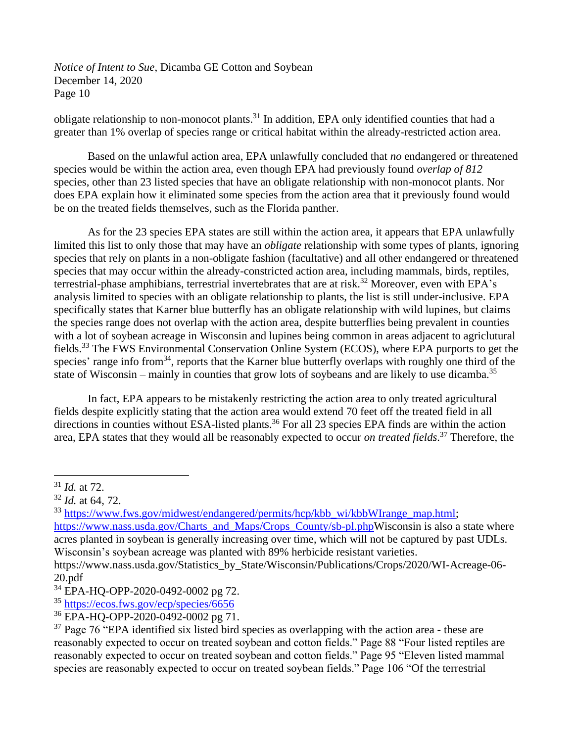obligate relationship to non-monocot plants.<sup>31</sup> In addition, EPA only identified counties that had a greater than 1% overlap of species range or critical habitat within the already-restricted action area.

Based on the unlawful action area, EPA unlawfully concluded that *no* endangered or threatened species would be within the action area, even though EPA had previously found *overlap of 812* species, other than 23 listed species that have an obligate relationship with non-monocot plants. Nor does EPA explain how it eliminated some species from the action area that it previously found would be on the treated fields themselves, such as the Florida panther.

As for the 23 species EPA states are still within the action area, it appears that EPA unlawfully limited this list to only those that may have an *obligate* relationship with some types of plants, ignoring species that rely on plants in a non-obligate fashion (facultative) and all other endangered or threatened species that may occur within the already-constricted action area, including mammals, birds, reptiles, terrestrial-phase amphibians, terrestrial invertebrates that are at risk.<sup>32</sup> Moreover, even with EPA's analysis limited to species with an obligate relationship to plants, the list is still under-inclusive. EPA specifically states that Karner blue butterfly has an obligate relationship with wild lupines, but claims the species range does not overlap with the action area, despite butterflies being prevalent in counties with a lot of soybean acreage in Wisconsin and lupines being common in areas adjacent to agriclutural fields.<sup>33</sup> The FWS Environmental Conservation Online System (ECOS), where EPA purports to get the species' range info from<sup>34</sup>, reports that the Karner blue butterfly overlaps with roughly one third of the state of Wisconsin – mainly in counties that grow lots of soybeans and are likely to use dicamba.<sup>35</sup>

In fact, EPA appears to be mistakenly restricting the action area to only treated agricultural fields despite explicitly stating that the action area would extend 70 feet off the treated field in all directions in counties without ESA-listed plants.<sup>36</sup> For all 23 species EPA finds are within the action area, EPA states that they would all be reasonably expected to occur *on treated fields*. <sup>37</sup> Therefore, the

<sup>35</sup> <https://ecos.fws.gov/ecp/species/6656>

<sup>31</sup> *Id.* at 72.

<sup>32</sup> *Id.* at 64, 72.

<sup>&</sup>lt;sup>33</sup> [https://www.fws.gov/midwest/endangered/permits/hcp/kbb\\_wi/kbbWIrange\\_map.html;](https://www.fws.gov/midwest/endangered/permits/hcp/kbb_wi/kbbWIrange_map.html) [https://www.nass.usda.gov/Charts\\_and\\_Maps/Crops\\_County/sb-pl.phpW](https://www.nass.usda.gov/Charts_and_Maps/Crops_County/sb-pl.php)isconsin is also a state where acres planted in soybean is generally increasing over time, which will not be captured by past UDLs. Wisconsin's soybean acreage was planted with 89% herbicide resistant varieties.

https://www.nass.usda.gov/Statistics\_by\_State/Wisconsin/Publications/Crops/2020/WI-Acreage-06- 20.pdf

<sup>&</sup>lt;sup>34</sup> EPA-HQ-OPP-2020-0492-0002 pg 72.

<sup>36</sup> EPA-HQ-OPP-2020-0492-0002 pg 71.

 $37$  Page 76 "EPA identified six listed bird species as overlapping with the action area - these are reasonably expected to occur on treated soybean and cotton fields." Page 88 "Four listed reptiles are reasonably expected to occur on treated soybean and cotton fields." Page 95 "Eleven listed mammal species are reasonably expected to occur on treated soybean fields." Page 106 "Of the terrestrial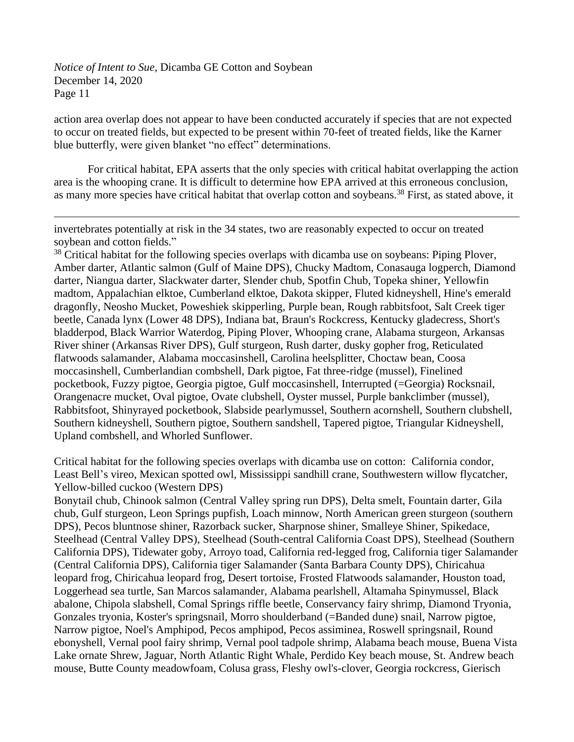action area overlap does not appear to have been conducted accurately if species that are not expected to occur on treated fields, but expected to be present within 70-feet of treated fields, like the Karner blue butterfly, were given blanket "no effect" determinations.

For critical habitat, EPA asserts that the only species with critical habitat overlapping the action area is the whooping crane. It is difficult to determine how EPA arrived at this erroneous conclusion, as many more species have critical habitat that overlap cotton and soybeans.<sup>38</sup> First, as stated above, it

invertebrates potentially at risk in the 34 states, two are reasonably expected to occur on treated soybean and cotton fields."

<sup>38</sup> Critical habitat for the following species overlaps with dicamba use on soybeans: Piping Plover, Amber darter, Atlantic salmon (Gulf of Maine DPS), Chucky Madtom, Conasauga logperch, Diamond darter, Niangua darter, Slackwater darter, Slender chub, Spotfin Chub, Topeka shiner, Yellowfin madtom, Appalachian elktoe, Cumberland elktoe, Dakota skipper, Fluted kidneyshell, Hine's emerald dragonfly, Neosho Mucket, Poweshiek skipperling, Purple bean, Rough rabbitsfoot, Salt Creek tiger beetle, Canada lynx (Lower 48 DPS), Indiana bat, Braun's Rockcress, Kentucky gladecress, Short's bladderpod, Black Warrior Waterdog, Piping Plover, Whooping crane, Alabama sturgeon, Arkansas River shiner (Arkansas River DPS), Gulf sturgeon, Rush darter, dusky gopher frog, Reticulated flatwoods salamander, Alabama moccasinshell, Carolina heelsplitter, Choctaw bean, Coosa moccasinshell, Cumberlandian combshell, Dark pigtoe, Fat three-ridge (mussel), Finelined pocketbook, Fuzzy pigtoe, Georgia pigtoe, Gulf moccasinshell, Interrupted (=Georgia) Rocksnail, Orangenacre mucket, Oval pigtoe, Ovate clubshell, Oyster mussel, Purple bankclimber (mussel), Rabbitsfoot, Shinyrayed pocketbook, Slabside pearlymussel, Southern acornshell, Southern clubshell, Southern kidneyshell, Southern pigtoe, Southern sandshell, Tapered pigtoe, Triangular Kidneyshell, Upland combshell, and Whorled Sunflower.

Critical habitat for the following species overlaps with dicamba use on cotton: California condor, Least Bell's vireo, Mexican spotted owl, Mississippi sandhill crane, Southwestern willow flycatcher, Yellow-billed cuckoo (Western DPS)

Bonytail chub, Chinook salmon (Central Valley spring run DPS), Delta smelt, Fountain darter, Gila chub, Gulf sturgeon, Leon Springs pupfish, Loach minnow, North American green sturgeon (southern DPS), Pecos bluntnose shiner, Razorback sucker, Sharpnose shiner, Smalleye Shiner, Spikedace, Steelhead (Central Valley DPS), Steelhead (South-central California Coast DPS), Steelhead (Southern California DPS), Tidewater goby, Arroyo toad, California red-legged frog, California tiger Salamander (Central California DPS), California tiger Salamander (Santa Barbara County DPS), Chiricahua leopard frog, Chiricahua leopard frog, Desert tortoise, Frosted Flatwoods salamander, Houston toad, Loggerhead sea turtle, San Marcos salamander, Alabama pearlshell, Altamaha Spinymussel, Black abalone, Chipola slabshell, Comal Springs riffle beetle, Conservancy fairy shrimp, Diamond Tryonia, Gonzales tryonia, Koster's springsnail, Morro shoulderband (=Banded dune) snail, Narrow pigtoe, Narrow pigtoe, Noel's Amphipod, Pecos amphipod, Pecos assiminea, Roswell springsnail, Round ebonyshell, Vernal pool fairy shrimp, Vernal pool tadpole shrimp, Alabama beach mouse, Buena Vista Lake ornate Shrew, Jaguar, North Atlantic Right Whale, Perdido Key beach mouse, St. Andrew beach mouse, Butte County meadowfoam, Colusa grass, Fleshy owl's-clover, Georgia rockcress, Gierisch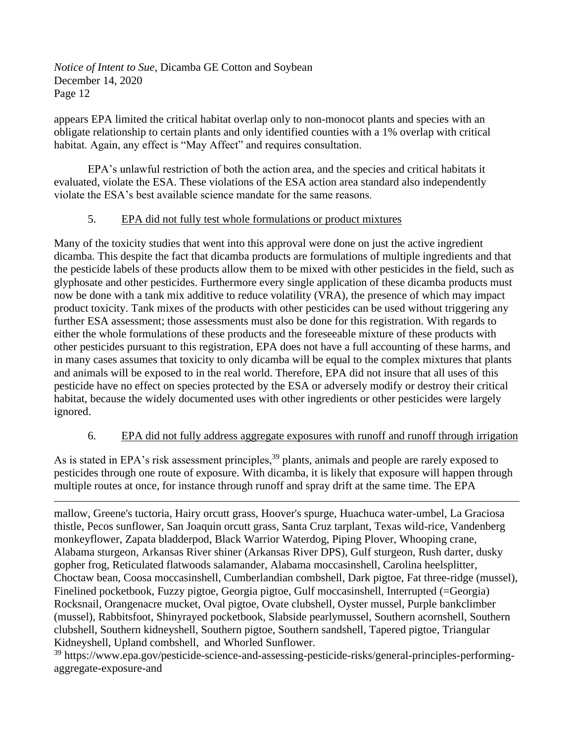appears EPA limited the critical habitat overlap only to non-monocot plants and species with an obligate relationship to certain plants and only identified counties with a 1% overlap with critical habitat. Again, any effect is "May Affect" and requires consultation.

EPA's unlawful restriction of both the action area, and the species and critical habitats it evaluated, violate the ESA. These violations of the ESA action area standard also independently violate the ESA's best available science mandate for the same reasons.

## 5. EPA did not fully test whole formulations or product mixtures

Many of the toxicity studies that went into this approval were done on just the active ingredient dicamba. This despite the fact that dicamba products are formulations of multiple ingredients and that the pesticide labels of these products allow them to be mixed with other pesticides in the field, such as glyphosate and other pesticides. Furthermore every single application of these dicamba products must now be done with a tank mix additive to reduce volatility (VRA), the presence of which may impact product toxicity. Tank mixes of the products with other pesticides can be used without triggering any further ESA assessment; those assessments must also be done for this registration. With regards to either the whole formulations of these products and the foreseeable mixture of these products with other pesticides pursuant to this registration, EPA does not have a full accounting of these harms, and in many cases assumes that toxicity to only dicamba will be equal to the complex mixtures that plants and animals will be exposed to in the real world. Therefore, EPA did not insure that all uses of this pesticide have no effect on species protected by the ESA or adversely modify or destroy their critical habitat, because the widely documented uses with other ingredients or other pesticides were largely ignored.

## 6. EPA did not fully address aggregate exposures with runoff and runoff through irrigation

As is stated in EPA's risk assessment principles,<sup>39</sup> plants, animals and people are rarely exposed to pesticides through one route of exposure. With dicamba, it is likely that exposure will happen through multiple routes at once, for instance through runoff and spray drift at the same time. The EPA

mallow, Greene's tuctoria, Hairy orcutt grass, Hoover's spurge, Huachuca water-umbel, La Graciosa thistle, Pecos sunflower, San Joaquin orcutt grass, Santa Cruz tarplant, Texas wild-rice, Vandenberg monkeyflower, Zapata bladderpod, Black Warrior Waterdog, Piping Plover, Whooping crane, Alabama sturgeon, Arkansas River shiner (Arkansas River DPS), Gulf sturgeon, Rush darter, dusky gopher frog, Reticulated flatwoods salamander, Alabama moccasinshell, Carolina heelsplitter, Choctaw bean, Coosa moccasinshell, Cumberlandian combshell, Dark pigtoe, Fat three-ridge (mussel), Finelined pocketbook, Fuzzy pigtoe, Georgia pigtoe, Gulf moccasinshell, Interrupted (=Georgia) Rocksnail, Orangenacre mucket, Oval pigtoe, Ovate clubshell, Oyster mussel, Purple bankclimber (mussel), Rabbitsfoot, Shinyrayed pocketbook, Slabside pearlymussel, Southern acornshell, Southern clubshell, Southern kidneyshell, Southern pigtoe, Southern sandshell, Tapered pigtoe, Triangular Kidneyshell, Upland combshell, and Whorled Sunflower.

<sup>39</sup> https://www.epa.gov/pesticide-science-and-assessing-pesticide-risks/general-principles-performingaggregate-exposure-and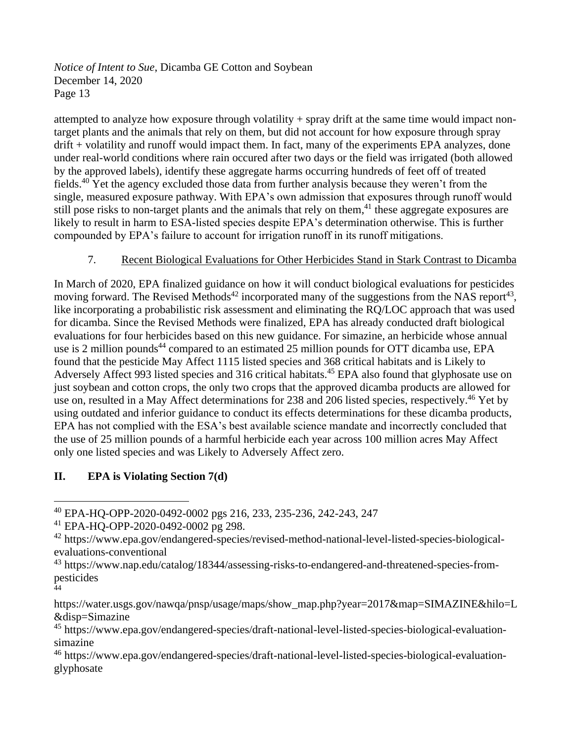attempted to analyze how exposure through volatility + spray drift at the same time would impact nontarget plants and the animals that rely on them, but did not account for how exposure through spray drift + volatility and runoff would impact them. In fact, many of the experiments EPA analyzes, done under real-world conditions where rain occured after two days or the field was irrigated (both allowed by the approved labels), identify these aggregate harms occurring hundreds of feet off of treated fields.<sup>40</sup> Yet the agency excluded those data from further analysis because they weren't from the single, measured exposure pathway. With EPA's own admission that exposures through runoff would still pose risks to non-target plants and the animals that rely on them,<sup>41</sup> these aggregate exposures are likely to result in harm to ESA-listed species despite EPA's determination otherwise. This is further compounded by EPA's failure to account for irrigation runoff in its runoff mitigations.

## 7. Recent Biological Evaluations for Other Herbicides Stand in Stark Contrast to Dicamba

In March of 2020, EPA finalized guidance on how it will conduct biological evaluations for pesticides moving forward. The Revised Methods<sup>42</sup> incorporated many of the suggestions from the NAS report<sup>43</sup>, like incorporating a probabilistic risk assessment and eliminating the RQ/LOC approach that was used for dicamba. Since the Revised Methods were finalized, EPA has already conducted draft biological evaluations for four herbicides based on this new guidance. For simazine, an herbicide whose annual use is 2 million pounds<sup>44</sup> compared to an estimated 25 million pounds for OTT dicamba use, EPA found that the pesticide May Affect 1115 listed species and 368 critical habitats and is Likely to Adversely Affect 993 listed species and 316 critical habitats.<sup>45</sup> EPA also found that glyphosate use on just soybean and cotton crops, the only two crops that the approved dicamba products are allowed for use on, resulted in a May Affect determinations for 238 and 206 listed species, respectively.<sup>46</sup> Yet by using outdated and inferior guidance to conduct its effects determinations for these dicamba products, EPA has not complied with the ESA's best available science mandate and incorrectly concluded that the use of 25 million pounds of a harmful herbicide each year across 100 million acres May Affect only one listed species and was Likely to Adversely Affect zero.

# **II. EPA is Violating Section 7(d)**

<sup>40</sup> EPA-HQ-OPP-2020-0492-0002 pgs 216, 233, 235-236, 242-243, 247

<sup>41</sup> EPA-HQ-OPP-2020-0492-0002 pg 298.

<sup>42</sup> https://www.epa.gov/endangered-species/revised-method-national-level-listed-species-biologicalevaluations-conventional

<sup>43</sup> https://www.nap.edu/catalog/18344/assessing-risks-to-endangered-and-threatened-species-frompesticides 44

https://water.usgs.gov/nawqa/pnsp/usage/maps/show\_map.php?year=2017&map=SIMAZINE&hilo=L &disp=Simazine

<sup>45</sup> https://www.epa.gov/endangered-species/draft-national-level-listed-species-biological-evaluationsimazine

<sup>46</sup> https://www.epa.gov/endangered-species/draft-national-level-listed-species-biological-evaluationglyphosate